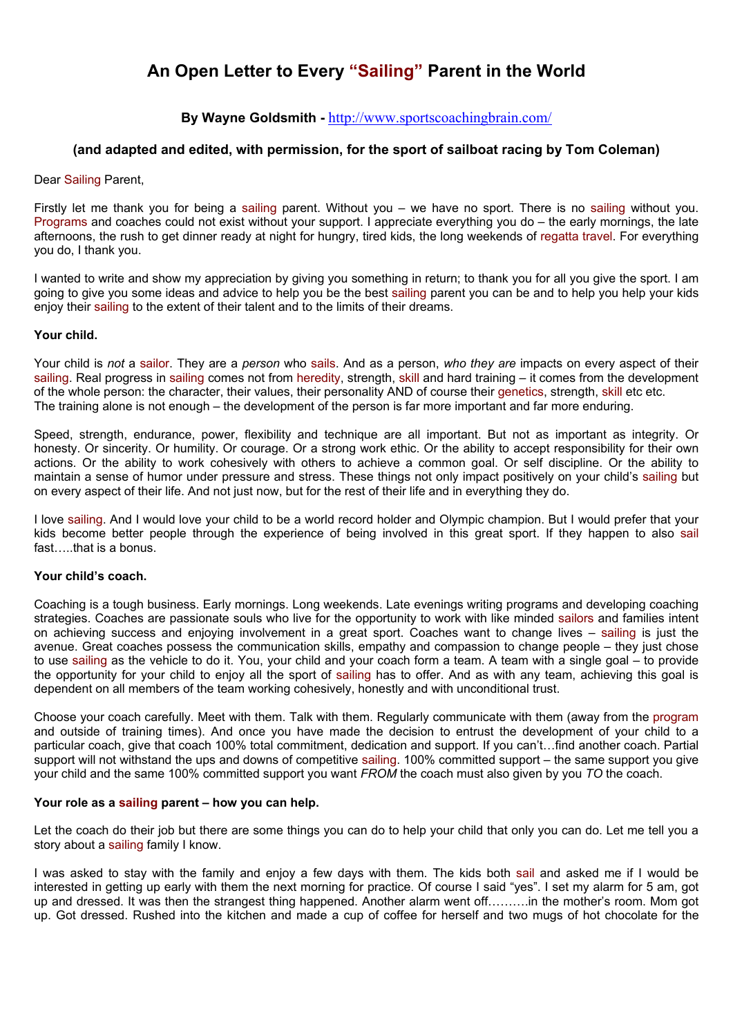# An Open Letter to Every "Sailing" Parent in the World

## **By Wayne Goldsmith -** http://www.sportscoachingbrain.com/

### **(and adapted and edited, with permission, for the sport of sailboat racing by Tom Coleman)**

#### Dear Sailing Parent,

Firstly let me thank you for being a sailing parent. Without you – we have no sport. There is no sailing without you. Programs and coaches could not exist without your support. I appreciate everything you do – the early mornings, the late afternoons, the rush to get dinner ready at night for hungry, tired kids, the long weekends of regatta travel. For everything you do, I thank you.

I wanted to write and show my appreciation by giving you something in return; to thank you for all you give the sport. I am going to give you some ideas and advice to help you be the best sailing parent you can be and to help you help your kids enjoy their sailing to the extent of their talent and to the limits of their dreams.

#### **Your child.**

Your child is *not* a sailor. They are a *person* who sails. And as a person, *who they are* impacts on every aspect of their sailing. Real progress in sailing comes not from heredity, strength, skill and hard training – it comes from the development of the whole person: the character, their values, their personality AND of course their genetics, strength, skill etc etc. The training alone is not enough – the development of the person is far more important and far more enduring.

Speed, strength, endurance, power, flexibility and technique are all important. But not as important as integrity. Or honesty. Or sincerity. Or humility. Or courage. Or a strong work ethic. Or the ability to accept responsibility for their own actions. Or the ability to work cohesively with others to achieve a common goal. Or self discipline. Or the ability to maintain a sense of humor under pressure and stress. These things not only impact positively on your child's sailing but on every aspect of their life. And not just now, but for the rest of their life and in everything they do.

I love sailing. And I would love your child to be a world record holder and Olympic champion. But I would prefer that your kids become better people through the experience of being involved in this great sport. If they happen to also sail fast  $th$ <sub>a</sub> that is a bonus.

#### Your child's coach.

Coaching is a tough business. Early mornings. Long weekends. Late evenings writing programs and developing coaching strategies. Coaches are passionate souls who live for the opportunity to work with like minded sailors and families intent on achieving success and enjoying involvement in a great sport. Coaches want to change lives – sailing is just the avenue. Great coaches possess the communication skills, empathy and compassion to change people - they just chose to use sailing as the vehicle to do it. You, your child and your coach form a team. A team with a single goal – to provide the opportunity for your child to enjoy all the sport of sailing has to offer. And as with any team, achieving this goal is dependent on all members of the team working cohesively, honestly and with unconditional trust.

Choose your coach carefully. Meet with them. Talk with them. Regularly communicate with them (away from the program and outside of training times). And once you have made the decision to entrust the development of your child to a particular coach, give that coach 100% total commitment, dedication and support. If you can't...find another coach. Partial support will not withstand the ups and downs of competitive sailing. 100% committed support – the same support you give your child and the same 100% committed support you want *FROM* the coach must also given by you *TO* the coach.

#### Your role as a sailing parent - how you can help.

Let the coach do their job but there are some things you can do to help your child that only you can do. Let me tell you a story about a sailing family I know.

I was asked to stay with the family and enjoy a few days with them. The kids both sail and asked me if I would be interested in getting up early with them the next morning for practice. Of course I said "yes". I set my alarm for 5 am, got up and dressed. It was then the strangest thing happened. Another alarm went off.........in the mother's room. Mom got up. Got dressed. Rushed into the kitchen and made a cup of coffee for herself and two mugs of hot chocolate for the